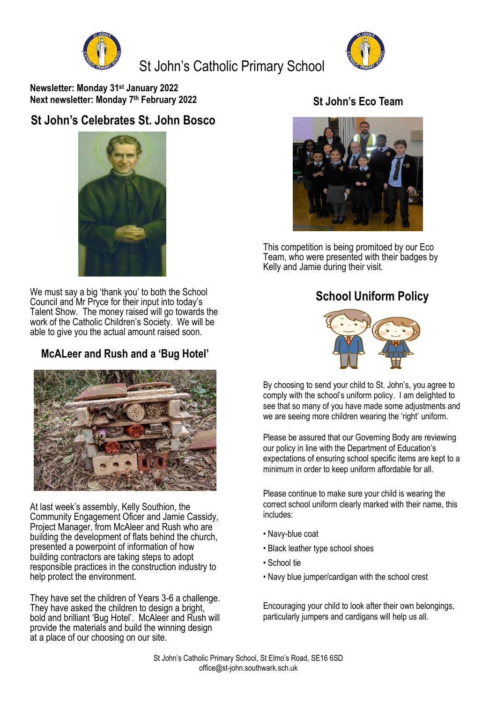

St John's Catholic Primary School



**Newsletter: Monday 31st January 2022 Next newsletter: Monday 7 th February 2022**

## **St John's Celebrates St. John Bosco**



We must say a big 'thank you' to both the School Council and Mr Pryce for their input into today's Talent Show. The money raised will go towards the work of the Catholic Children's Society. We will be able to give you the actual amount raised soon.

# **McALeer and Rush and a 'Bug Hotel'**



At last week's assembly, Kelly Southion, the Community Engagement Oficer and Jamie Cassidy, Project Manager, from McAleer and Rush who are building the development of flats behind the church, presented a powerpoint of information of how building contractors are taking steps to adopt responsible practices in the construction industry to help protect the environment.

They have set the children of Years 3-6 a challenge. They have asked the children to design a bright. bold and brilliant 'Bug Hotel'. McAleer and Rush will provide the materials and build the winning design at a place of our choosing on our site.

#### **St John's Eco Team**



This competition is being promitoed by our Eco Team, who were presented with their badges by Kelly and Jamie during their visit.

### **School Uniform Policy**



By choosing to send your child to St. John's, you agree to comply with the school's uniform policy. I am delighted to see that so many of you have made some adjustments and we are seeing more children wearing the 'right' uniform.

Please be assured that our Governing Body are reviewing our policy in line with the Department of Education's expectations of ensuring school specific items are kept to a minimum in order to keep uniform affordable for all.

Please continue to make sure your child is wearing the correct school uniform clearly marked with their name, this includes:

- Navy-blue coat
- Black leather type school shoes
- School tie
- Navy blue jumper/cardigan with the school crest

Encouraging your child to look after their own belongings, particularly jumpers and cardigans will help us all.